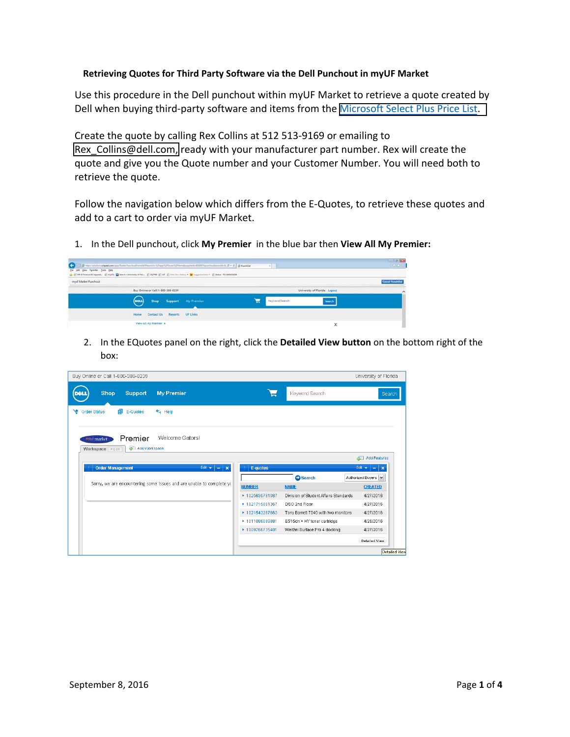## **Retrieving Quotes for Third Party Software via the Dell Punchout in myUF Market**

Use this procedure in the Dell punchout within myUF Market to retrieve a quote created by Dell when buying third-party software and items from the [Microsoft](http://purchasing.ufl.edu/contracts/microsoft.asp) Select Plus Price List.

Create the quote by calling Rex Collins at 512 513‐9169 or emailing to Rex Collins@dell.com, ready with your manufacturer part number. Rex will create the quote and give you the Quote number and your Customer Number. You will need both to retrieve the quote.

Follow the navigation below which differs from the E‐Quotes, to retrieve these quotes and add to a cart to order via myUF Market.

1. In the Dell punchout, click **My Premier** in the blue bar then **View All My Premier:**

| B MacDatan Labour applican Textual and and all and the second Change Channel Direct Engels to 2007 Approved team (2012) [ D = C   B Pandidat                                                 |                               | <b>STIGHTION</b><br>$A = 0$ |
|----------------------------------------------------------------------------------------------------------------------------------------------------------------------------------------------|-------------------------------|-----------------------------|
| file file you finalise Date 1980<br>1 EHRA Fearure 12 Upgrad. 27 myUR, ED Search + University of Fies. 27 SQ PRD 27 UT 27 Prix State Salesy = 1 St Lappened State = 27 States - PO 180041208 |                               |                             |
| myuf Market Punchout                                                                                                                                                                         |                               | <b>Conrad PunchQue</b>      |
| Buy Online or Call 1-800-388-8239                                                                                                                                                            | University of Florida Logout  |                             |
| <b>DOLL</b><br>Support My Premier<br>Shop                                                                                                                                                    | Keyword Search<br>Search<br>⊣ |                             |
| Home Contact Us Reports UF Links                                                                                                                                                             |                               |                             |
| View All My Premier +                                                                                                                                                                        | ×                             |                             |

2. In the EQuotes panel on the right, click the **Detailed View button** on the bottom right of the box:

| Buy Online or Call 1-800-388-8239                                                    |                 |                                       | University of Florida       |
|--------------------------------------------------------------------------------------|-----------------|---------------------------------------|-----------------------------|
| Shop<br>Support<br><b>My Premier</b>                                                 | ᆮ               | Keyword Search                        | Search                      |
| $\blacksquare$ E-Quotes<br>$H = Hei$<br>٦e<br><b>Order Status</b>                    |                 |                                       |                             |
| Welcome Gators!<br>Premier<br><b>WALL market</b><br>Add Workspace<br>Workspace Fedit |                 |                                       |                             |
|                                                                                      |                 |                                       | <b>Add Features</b>         |
| <b>Order Management</b><br>Edit +<br>$\pmb{\times}$<br>$\overline{\phantom{a}}$      | E-quotes<br>Ħ.  |                                       | Edit +<br>$\mathbf{x}$<br>- |
|                                                                                      |                 | Search                                | Authorized Buyers           |
| Sorry, we are encountering some issues and are unable to complete yo                 | <b>NUMBER</b>   | <b>NAME</b>                           | <b>CREATED</b>              |
|                                                                                      | ▶ 1025635781087 | Division of Student Affairs Standards | 4/27/2016                   |
|                                                                                      | ▶ 1021715061367 | DSO 2nd Floor                         | 4/27/2016                   |
|                                                                                      | ▶ 1021543287663 | Tony Barrett 7040 with two monitors   | 4/27/2016                   |
|                                                                                      | ▶ 1011086089881 | E515dn + HY toner cartridge           | 4/26/2016                   |
|                                                                                      | ▶ 1009766735401 | Weitzel Surface Pro 4 docking         | 4/27/2016                   |
|                                                                                      |                 |                                       | Detailed View               |
|                                                                                      |                 |                                       | Detailed View               |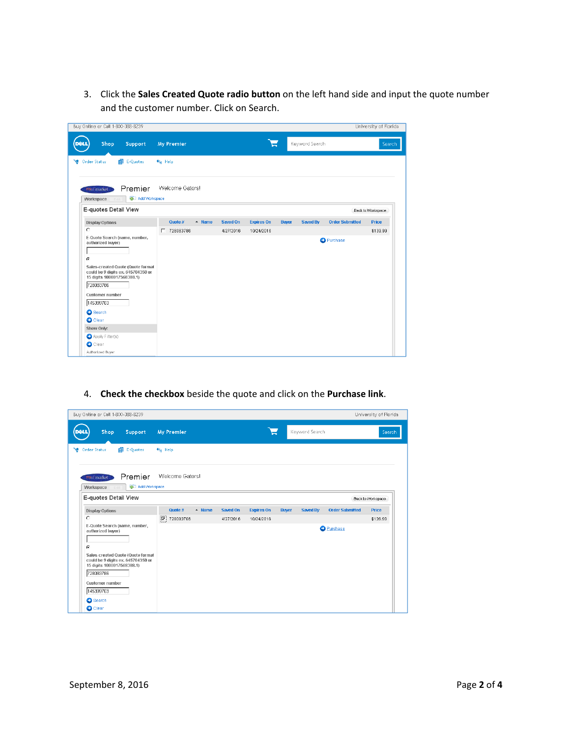3. Click the **Sales Created Quote radio button** on the left hand side and input the quote number and the customer number. Click on Search.

| Buy Online or Call 1-800-388-8239                                                                                                                                                                        |                             |           |                   |              |                |                        | University of Florida |
|----------------------------------------------------------------------------------------------------------------------------------------------------------------------------------------------------------|-----------------------------|-----------|-------------------|--------------|----------------|------------------------|-----------------------|
| Shop<br>Support<br>DEL                                                                                                                                                                                   | <b>My Premier</b>           |           | ┕                 |              | Keyword Search |                        | Search                |
| 目 E-Quotes<br>Order Status                                                                                                                                                                               | $\leftarrow$ Help           |           |                   |              |                |                        |                       |
| Premier<br>www.market<br>Add Workspace<br>Workspace                                                                                                                                                      | Welcome Gators!             |           |                   |              |                |                        |                       |
| E-quotes Detail View                                                                                                                                                                                     |                             |           |                   |              |                |                        | Back to Workspace     |
| <b>Display Options</b>                                                                                                                                                                                   | Quote #<br>$\triangle$ Name | Saved On  | <b>Expires On</b> | <b>Buyer</b> | Saved By       | <b>Order Submitted</b> | <b>Price</b>          |
| $\circ$                                                                                                                                                                                                  | □ 728083786                 | 4/27/2016 | 10/24/2016        |              |                |                        | \$139.99              |
| authorized buyer)<br>G<br>Sales-created Quote (Quote format<br>could be 9 digits ex. 645704350 or<br>15 digits 1000017568388.1)<br>728083786<br>Customer number<br>145399703<br>Search<br><b>O</b> Clear |                             |           |                   |              |                | <b>O</b> Purchase      |                       |
| Show Only:                                                                                                                                                                                               |                             |           |                   |              |                |                        |                       |
| Apply Filter(s)                                                                                                                                                                                          |                             |           |                   |              |                |                        |                       |
| $\bigcirc$ Clear                                                                                                                                                                                         |                             |           |                   |              |                |                        |                       |

## 4. **Check the checkbox** beside the quote and click on the **Purchase link**.

| Buy Online or Call 1-800-388-8239                                                                                                                                                                             |                             |                 |                   |              |                |                        | University of Florida |
|---------------------------------------------------------------------------------------------------------------------------------------------------------------------------------------------------------------|-----------------------------|-----------------|-------------------|--------------|----------------|------------------------|-----------------------|
| Shop<br>Support                                                                                                                                                                                               | <b>My Premier</b>           |                 | ┕                 |              | Keyword Search |                        | Search                |
| 目 E-Quotes<br><b>Order Status</b><br>٦e                                                                                                                                                                       | $\leftarrow$ Help           |                 |                   |              |                |                        |                       |
| Premier<br><b>WALL market</b>                                                                                                                                                                                 | Welcome Gators!             |                 |                   |              |                |                        |                       |
| Add Workspace<br>Workspace<br>E-quotes Detail View                                                                                                                                                            |                             |                 |                   |              |                |                        | Back to Workspace     |
| <b>Display Options</b>                                                                                                                                                                                        | Quote #<br>$\triangle$ Name | <b>Saved On</b> | <b>Expires On</b> | <b>Buyer</b> | Saved By       | <b>Order Submitted</b> | <b>Price</b>          |
| O                                                                                                                                                                                                             | $ \nabla $<br>728083786     | 4/27/2016       | 10/24/2016        |              |                |                        | \$139.99              |
| E-Quote Search (name, number,<br>authorized buyer)<br>G<br>Sales-created Quote (Quote format<br>could be 9 digits ex. 645704350 or<br>15 digits 1000017568388.1)<br>728083786<br>Customer number<br>145399703 |                             |                 |                   |              |                | <b>O</b> Purchase      |                       |
| Search                                                                                                                                                                                                        |                             |                 |                   |              |                |                        |                       |
| <b>O</b> Clear                                                                                                                                                                                                |                             |                 |                   |              |                |                        |                       |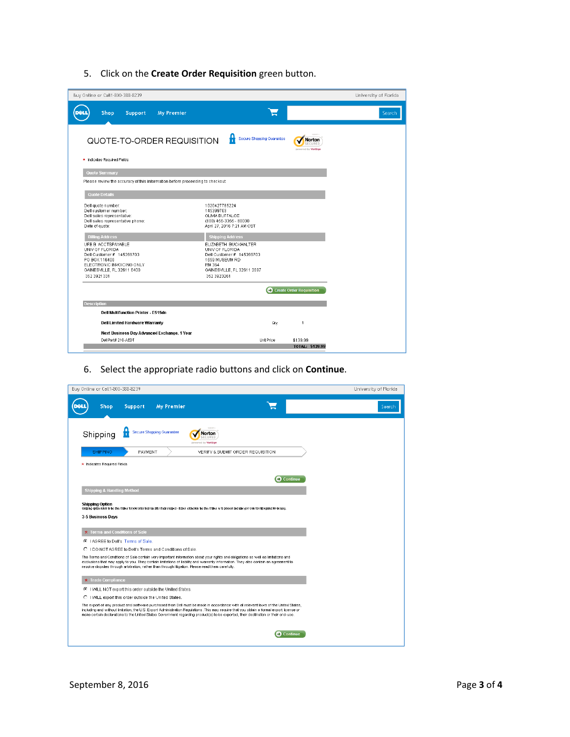5. Click on the **Create Order Requisition** green button.

| Buy Online or Call1-800-388-8239                                              |                                             | University of Florida |
|-------------------------------------------------------------------------------|---------------------------------------------|-----------------------|
| Shop<br>Support<br><b>My Premier</b>                                          | ◣                                           | Search                |
| QUOTE-TO-ORDER REQUISITION                                                    | H<br>Secure Shopping Guarantee              |                       |
| * Indicates Required Fields                                                   |                                             |                       |
| Quote Summary                                                                 |                                             |                       |
| Please review the accuracy of this information before proceeding to checkout. |                                             |                       |
| <b>Quote Details</b>                                                          |                                             |                       |
| Dell quote number:<br>Dell customer number:                                   | 1020427765224<br>145399703                  |                       |
| Dell sales representative:<br>Dell sales representative phone:                | OLIVIA BUFFALOE<br>(800) 456-3355 - 80000   |                       |
| Date of quote:                                                                | April 27, 2016 7:21 AM CST                  |                       |
| <b>Billing Address</b>                                                        | <b>Shipping Address</b>                     |                       |
| UFB B ACCTSPAYABLE<br>UNIV OF FLORIDA                                         | ELIZABETH BUCKHALTER<br>UNIV OF FLORIDA     |                       |
| Dell Customer # 145399703<br>PO BOX 116400                                    | Dell Customer # 145399703<br>1659 MUSEUM RD |                       |
| ELECTRONIC INVOICING ONLY                                                     | RM 364                                      |                       |
| GAINESVILLE, FL 32611 6400<br>352 3921 331                                    | GAINESVILLE, FL 32611 2097<br>352 3923261   |                       |
|                                                                               |                                             |                       |
|                                                                               | <b>C</b> Create Order Requisition           |                       |
| <b>Description</b>                                                            |                                             |                       |
| <b>Dell Multifunction Printer - E515dn</b>                                    |                                             |                       |
| Dell Limited Hardware Warranty                                                | $\mathbf{1}$<br>Qtγ                         |                       |
| Next Business Day Advanced Exchange, 1 Year                                   |                                             |                       |
| Dell Part# 210-AEDT                                                           | Unit Price<br>\$139.99                      |                       |
|                                                                               | TOTAL: \$139.99                             |                       |

6. Select the appropriate radio buttons and click on **Continue**.

| Buy Online or Call1-800-388-8239                                                                                                                                                                                                                                                                                                                                                                                      | University of Florida |
|-----------------------------------------------------------------------------------------------------------------------------------------------------------------------------------------------------------------------------------------------------------------------------------------------------------------------------------------------------------------------------------------------------------------------|-----------------------|
| Support<br><b>My Premier</b><br>Shop                                                                                                                                                                                                                                                                                                                                                                                  | Search                |
| H<br>Secure Shopping Guarantee<br>Shipping<br>Norton<br>powered by VeriSign                                                                                                                                                                                                                                                                                                                                           |                       |
| <b>SHIPPING</b><br>PAYMENT<br>VERIFY & SUBMIT ORDER REQUISITION                                                                                                                                                                                                                                                                                                                                                       |                       |
| * Indicates Required Fields                                                                                                                                                                                                                                                                                                                                                                                           |                       |
| <b>C</b> Continue                                                                                                                                                                                                                                                                                                                                                                                                     |                       |
| <b>Shipping &amp; Handling Method</b>                                                                                                                                                                                                                                                                                                                                                                                 |                       |
| Silipping option releas to the three it takes for your order to arribe after it has slipped - it does not include the time it takes us to process and have your order builtiprepared for delibery.<br>3-5 Business Days<br>★ Terms and Conditions of Sale                                                                                                                                                             |                       |
| C   AGREE to Dell's Terms of Sale.                                                                                                                                                                                                                                                                                                                                                                                    |                       |
| C I DO NOT AGREE to Dell's Terms and Conditions of Sale.                                                                                                                                                                                                                                                                                                                                                              |                       |
| The Terms and Conditions of Sale contain very important information about your rights and obligations as well as limitations and<br>exclusions that may apply to you. They contain limitations of liability and warranty information. They also contain an agreement to<br>resolve disputes through arbitration, rather than through litigation. Please read them carefully.                                          |                       |
| <b>★ Trade Compliance</b>                                                                                                                                                                                                                                                                                                                                                                                             |                       |
| C I WILL NOT export this order outside the United States.                                                                                                                                                                                                                                                                                                                                                             |                       |
| C I WILL export this order outside the United States.                                                                                                                                                                                                                                                                                                                                                                 |                       |
| The export of any product and software purchased from Dell must be made in accordance with all relevant laws of the United States,<br>including and without limitation, the U.S. Export Administration Regulations. This may require that you obtain a formal export license or<br>make certain declarations to the United States Government regarding product(s) to be exported, their destination or their end-use. |                       |
| $\Box$ Continue                                                                                                                                                                                                                                                                                                                                                                                                       |                       |